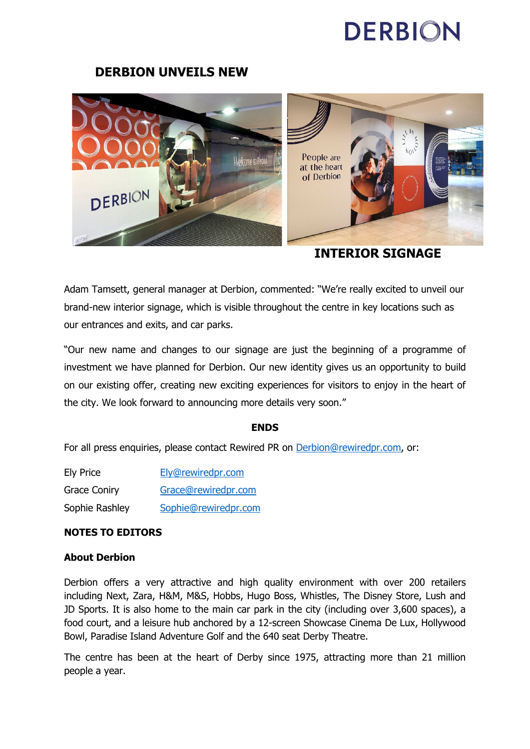## **DERBION**

### **DERBION UNVEILS NEW**



**INTERIOR SIGNAGE** 

Adam Tamsett, general manager at Derbion, commented: "We're really excited to unveil our brand-new interior signage, which is visible throughout the centre in key locations such as our entrances and exits, and car parks.

"Our new name and changes to our signage are just the beginning of a programme of investment we have planned for Derbion. Our new identity gives us an opportunity to build on our existing offer, creating new exciting experiences for visitors to enjoy in the heart of the city. We look forward to announcing more details very soon."

#### **ENDS**

For all press enquiries, please contact Rewired PR on [Derbion@rewiredpr.com,](mailto:DerbyCentre@rewiredpr.com) or:

| <b>Ely Price</b>    | Ely@rewiredpr.com    |
|---------------------|----------------------|
| <b>Grace Coniry</b> | Grace@rewiredpr.com  |
| Sophie Rashley      | Sophie@rewiredpr.com |

#### **NOTES TO EDITORS**

#### **About Derbion**

Derbion offers a very attractive and high quality environment with over 200 retailers including Next, Zara, H&M, M&S, Hobbs, Hugo Boss, Whistles, The Disney Store, Lush and JD Sports. It is also home to the main car park in the city (including over 3,600 spaces), a food court, and a leisure hub anchored by a 12-screen Showcase Cinema De Lux, Hollywood Bowl, Paradise Island Adventure Golf and the 640 seat Derby Theatre.

The centre has been at the heart of Derby since 1975, attracting more than 21 million people a year.